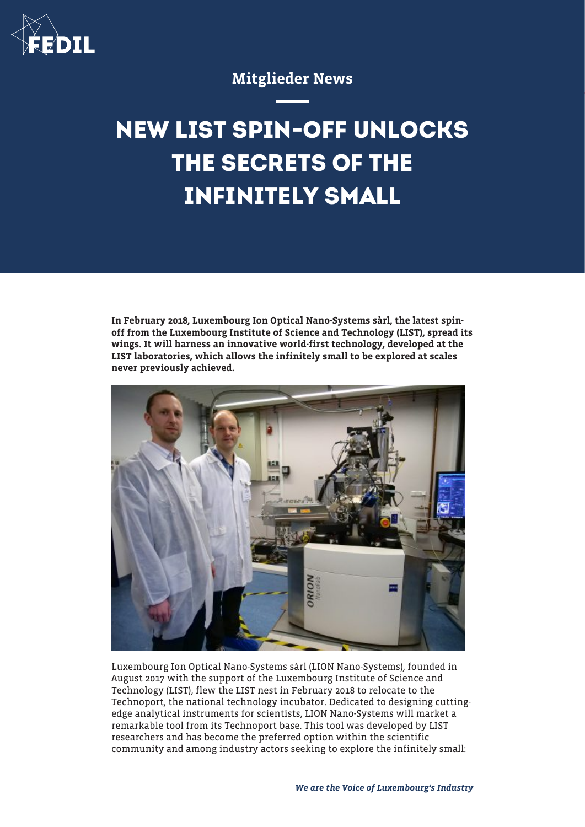

## Mitglieder News

# **NEW LIST SPIN-OFF UNLOCKS THE SECRETS OF THE INFINITELY SMALL**

In February 2018, Luxembourg Ion Optical Nano-Systems sàrl, the latest spinoff from the Luxembourg Institute of Science and Technology (LIST), spread its wings. It will harness an innovative world-first technology, developed at the LIST laboratories, which allows the infinitely small to be explored at scales never previously achieved.



Luxembourg Ion Optical Nano-Systems sàrl (LION Nano-Systems), founded in August 2017 with the support of the Luxembourg Institute of Science and Technology (LIST), flew the LIST nest in February 2018 to relocate to the Technoport, the national technology incubator. Dedicated to designing cuttingedge analytical instruments for scientists, LION Nano-Systems will market a remarkable tool from its Technoport base. This tool was developed by LIST researchers and has become the preferred option within the scientific community and among industry actors seeking to explore the infinitely small: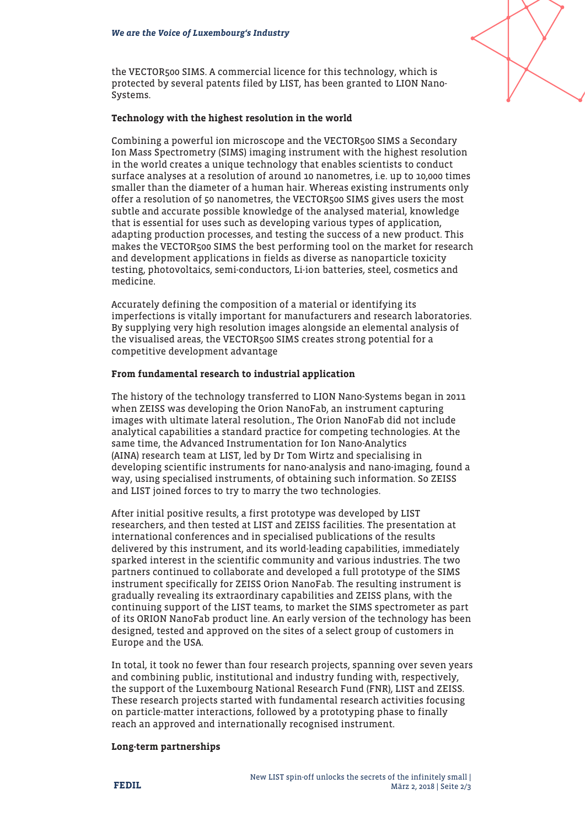

the VECTOR500 SIMS. A commercial licence for this technology, which is protected by several patents filed by LIST, has been granted to LION Nano-Systems.

#### Technology with the highest resolution in the world

Combining a powerful ion microscope and the VECTOR500 SIMS a Secondary Ion Mass Spectrometry (SIMS) imaging instrument with the highest resolution in the world creates a unique technology that enables scientists to conduct surface analyses at a resolution of around 10 nanometres, i.e. up to 10,000 times smaller than the diameter of a human hair. Whereas existing instruments only offer a resolution of 50 nanometres, the VECTOR500 SIMS gives users the most subtle and accurate possible knowledge of the analysed material, knowledge that is essential for uses such as developing various types of application, adapting production processes, and testing the success of a new product. This makes the VECTOR500 SIMS the best performing tool on the market for research and development applications in fields as diverse as nanoparticle toxicity testing, photovoltaics, semi-conductors, Li-ion batteries, steel, cosmetics and medicine.

Accurately defining the composition of a material or identifying its imperfections is vitally important for manufacturers and research laboratories. By supplying very high resolution images alongside an elemental analysis of the visualised areas, the VECTOR500 SIMS creates strong potential for a competitive development advantage

### From fundamental research to industrial application

The history of the technology transferred to LION Nano-Systems began in 2011 when ZEISS was developing the Orion NanoFab, an instrument capturing images with ultimate lateral resolution., The Orion NanoFab did not include analytical capabilities a standard practice for competing technologies. At the same time, the Advanced Instrumentation for Ion Nano-Analytics (AINA) research team at LIST, led by Dr Tom Wirtz and specialising in developing scientific instruments for nano-analysis and nano-imaging, found a way, using specialised instruments, of obtaining such information. So ZEISS and LIST joined forces to try to marry the two technologies.

After initial positive results, a first prototype was developed by LIST researchers, and then tested at LIST and ZEISS facilities. The presentation at international conferences and in specialised publications of the results delivered by this instrument, and its world-leading capabilities, immediately sparked interest in the scientific community and various industries. The two partners continued to collaborate and developed a full prototype of the SIMS instrument specifically for ZEISS Orion NanoFab. The resulting instrument is gradually revealing its extraordinary capabilities and ZEISS plans, with the continuing support of the LIST teams, to market the SIMS spectrometer as part of its ORION NanoFab product line. An early version of the technology has been designed, tested and approved on the sites of a select group of customers in Europe and the USA.

In total, it took no fewer than four research projects, spanning over seven years and combining public, institutional and industry funding with, respectively, the support of the Luxembourg National Research Fund (FNR), LIST and ZEISS. These research projects started with fundamental research activities focusing on particle-matter interactions, followed by a prototyping phase to finally reach an approved and internationally recognised instrument.

#### Long-term partnerships